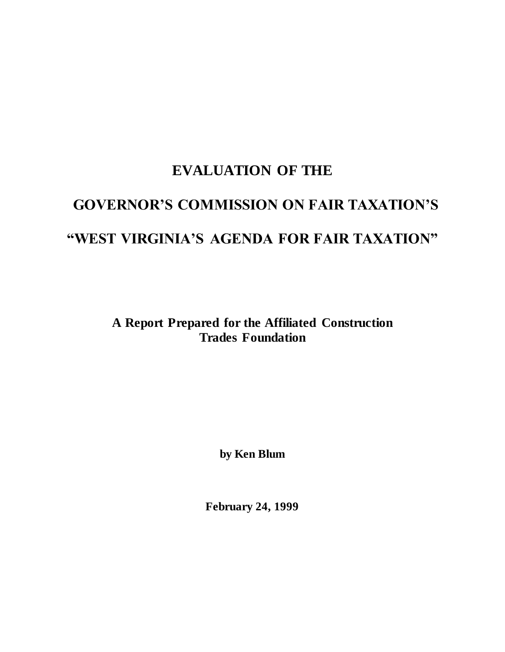# **EVALUATION OF THE GOVERNOR'S COMMISSION ON FAIR TAXATION'S "WEST VIRGINIA'S AGENDA FOR FAIR TAXATION"**

**A Report Prepared for the Affiliated Construction Trades Foundation**

**by Ken Blum**

**February 24, 1999**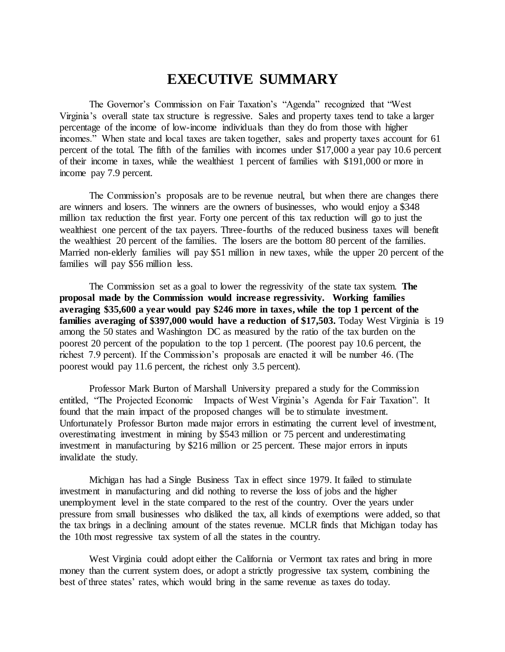# **EXECUTIVE SUMMARY**

The Governor's Commission on Fair Taxation's "Agenda" recognized that "West Virginia's overall state tax structure is regressive. Sales and property taxes tend to take a larger percentage of the income of low-income individuals than they do from those with higher incomes." When state and local taxes are taken together, sales and property taxes account for 61 percent of the total. The fifth of the families with incomes under \$17,000 a year pay 10.6 percent of their income in taxes, while the wealthiest 1 percent of families with \$191,000 or more in income pay 7.9 percent.

The Commission's proposals are to be revenue neutral, but when there are changes there are winners and losers. The winners are the owners of businesses, who would enjoy a \$348 million tax reduction the first year. Forty one percent of this tax reduction will go to just the wealthiest one percent of the tax payers. Three-fourths of the reduced business taxes will benefit the wealthiest 20 percent of the families. The losers are the bottom 80 percent of the families. Married non-elderly families will pay \$51 million in new taxes, while the upper 20 percent of the families will pay \$56 million less.

The Commission set as a goal to lower the regressivity of the state tax system. **The proposal made by the Commission would increase regressivity. Working families averaging \$35,600 a year would pay \$246 more in taxes, while the top 1 percent of the**  families averaging of \$397,000 would have a reduction of \$17,503. Today West Virginia is 19 among the 50 states and Washington DC as measured by the ratio of the tax burden on the poorest 20 percent of the population to the top 1 percent. (The poorest pay 10.6 percent, the richest 7.9 percent). If the Commission's proposals are enacted it will be number 46. (The poorest would pay 11.6 percent, the richest only 3.5 percent).

Professor Mark Burton of Marshall University prepared a study for the Commission entitled, "The Projected Economic Impacts of West Virginia's Agenda for Fair Taxation". It found that the main impact of the proposed changes will be to stimulate investment. Unfortunately Professor Burton made major errors in estimating the current level of investment, overestimating investment in mining by \$543 million or 75 percent and underestimating investment in manufacturing by \$216 million or 25 percent. These major errors in inputs invalidate the study.

Michigan has had a Single Business Tax in effect since 1979. It failed to stimulate investment in manufacturing and did nothing to reverse the loss of jobs and the higher unemployment level in the state compared to the rest of the country. Over the years under pressure from small businesses who disliked the tax, all kinds of exemptions were added, so that the tax brings in a declining amount of the states revenue. MCLR finds that Michigan today has the 10th most regressive tax system of all the states in the country.

West Virginia could adopt either the California or Vermont tax rates and bring in more money than the current system does, or adopt a strictly progressive tax system, combining the best of three states' rates, which would bring in the same revenue as taxes do today.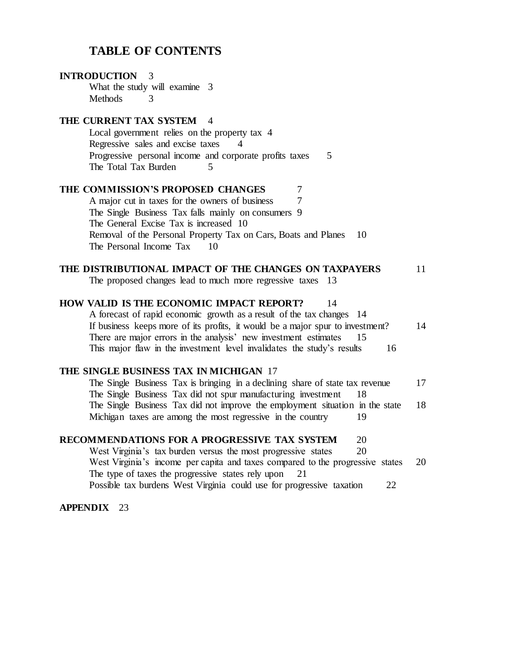# **TABLE OF CONTENTS**

| <b>INTRODUCTION</b><br>3                                                       |    |
|--------------------------------------------------------------------------------|----|
| What the study will examine 3                                                  |    |
| <b>Methods</b><br>3                                                            |    |
| THE CURRENT TAX SYSTEM 4                                                       |    |
| Local government relies on the property tax 4                                  |    |
| Regressive sales and excise taxes                                              |    |
| Progressive personal income and corporate profits taxes<br>5                   |    |
| The Total Tax Burden<br>5                                                      |    |
| THE COMMISSION'S PROPOSED CHANGES<br>7                                         |    |
| A major cut in taxes for the owners of business<br>7                           |    |
| The Single Business Tax falls mainly on consumers 9                            |    |
| The General Excise Tax is increased 10                                         |    |
| Removal of the Personal Property Tax on Cars, Boats and Planes<br>10           |    |
| The Personal Income Tax<br>10                                                  |    |
| THE DISTRIBUTIONAL IMPACT OF THE CHANGES ON TAXPAYERS                          | 11 |
| The proposed changes lead to much more regressive taxes 13                     |    |
|                                                                                |    |
| HOW VALID IS THE ECONOMIC IMPACT REPORT?<br>14                                 |    |
| A forecast of rapid economic growth as a result of the tax changes 14          |    |
| If business keeps more of its profits, it would be a major spur to investment? | 14 |
| There are major errors in the analysis' new investment estimates<br>15         |    |
| This major flaw in the investment level invalidates the study's results<br>16  |    |
| THE SINGLE BUSINESS TAX IN MICHIGAN 17                                         |    |
| The Single Business Tax is bringing in a declining share of state tax revenue  | 17 |
| The Single Business Tax did not spur manufacturing investment<br>18            |    |
| The Single Business Tax did not improve the employment situation in the state  | 18 |
| Michigan taxes are among the most regressive in the country<br>19              |    |
| RECOMMENDATIONS FOR A PROGRESSIVE TAX SYSTEM                                   |    |
| 20<br>West Virginia's tax burden versus the most progressive states<br>20      |    |
| West Virginia's income per capita and taxes compared to the progressive states | 20 |
| The type of taxes the progressive states rely upon<br>21                       |    |
| Possible tax burdens West Virginia could use for progressive taxation<br>22    |    |
|                                                                                |    |

## **APPENDIX** 23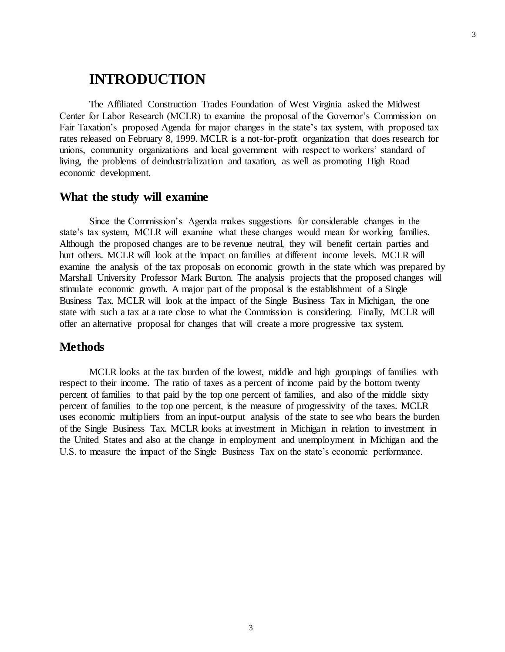# **INTRODUCTION**

The Affiliated Construction Trades Foundation of West Virginia asked the Midwest Center for Labor Research (MCLR) to examine the proposal of the Governor's Commission on Fair Taxation's proposed Agenda for major changes in the state's tax system, with proposed tax rates released on February 8, 1999. MCLR is a not-for-profit organization that does research for unions, community organizations and local government with respect to workers' standard of living, the problems of deindustrialization and taxation, as well as promoting High Road economic development.

#### **What the study will examine**

Since the Commission's Agenda makes suggestions for considerable changes in the state's tax system, MCLR will examine what these changes would mean for working families. Although the proposed changes are to be revenue neutral, they will benefit certain parties and hurt others. MCLR will look at the impact on families at different income levels. MCLR will examine the analysis of the tax proposals on economic growth in the state which was prepared by Marshall University Professor Mark Burton. The analysis projects that the proposed changes will stimulate economic growth. A major part of the proposal is the establishment of a Single Business Tax. MCLR will look at the impact of the Single Business Tax in Michigan, the one state with such a tax at a rate close to what the Commission is considering. Finally, MCLR will offer an alternative proposal for changes that will create a more progressive tax system.

### **Methods**

MCLR looks at the tax burden of the lowest, middle and high groupings of families with respect to their income. The ratio of taxes as a percent of income paid by the bottom twenty percent of families to that paid by the top one percent of families, and also of the middle sixty percent of families to the top one percent, is the measure of progressivity of the taxes. MCLR uses economic multipliers from an input-output analysis of the state to see who bears the burden of the Single Business Tax. MCLR looks at investment in Michigan in relation to investment in the United States and also at the change in employment and unemployment in Michigan and the U.S. to measure the impact of the Single Business Tax on the state's economic performance.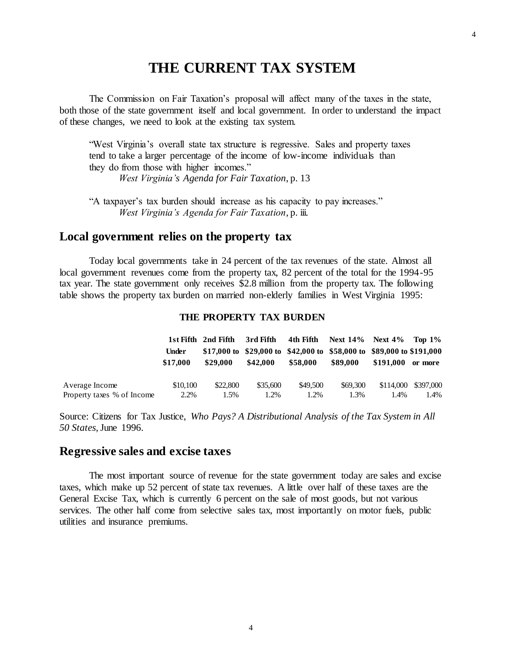# **THE CURRENT TAX SYSTEM**

The Commission on Fair Taxation's proposal will affect many of the taxes in the state, both those of the state government itself and local government. In order to understand the impact of these changes, we need to look at the existing tax system.

"West Virginia's overall state tax structure is regressive. Sales and property taxes tend to take a larger percentage of the income of low-income individuals than they do from those with higher incomes." *West Virginia's Agenda for Fair Taxation*, p. 13

"A taxpayer's tax burden should increase as his capacity to pay increases." *West Virginia's Agenda for Fair Taxation*, p. iii.

## **Local government relies on the property tax**

Today local governments take in 24 percent of the tax revenues of the state. Almost all local government revenues come from the property tax, 82 percent of the total for the 1994-95 tax year. The state government only receives \$2.8 million from the property tax. The following table shows the property tax burden on married non-elderly families in West Virginia 1995:

#### **THE PROPERTY TAX BURDEN**

|                            |                   | 1st Fifth 2nd Fifth | 3rd Fifth | 4th Fifth | <b>Next 14%</b> Next $4\%$ Top $1\%$                                              |           |                     |
|----------------------------|-------------------|---------------------|-----------|-----------|-----------------------------------------------------------------------------------|-----------|---------------------|
|                            | Under<br>\$17.000 | \$29,000            | \$42,000  | \$58.000  | \$17,000 to \$29,000 to \$42,000 to \$58,000 to \$89,000 to \$191,000<br>\$89,000 | \$191.000 | or more             |
| Average Income             | \$10,100          | \$22,800            | \$35,600  | \$49.500  | \$69,300                                                                          |           | \$114,000 \$397,000 |
| Property taxes % of Income | 2.2%              | 1.5%                | 1.2%      | 1.2%      | 1.3%                                                                              | 1.4%      | 1.4%                |

Source: Citizens for Tax Justice, *Who Pays? A Distributional Analysis of the Tax System in All 50 States*, June 1996.

#### **Regressive sales and excise taxes**

The most important source of revenue for the state government today are sales and excise taxes, which make up 52 percent of state tax revenues. A little over half of these taxes are the General Excise Tax, which is currently 6 percent on the sale of most goods, but not various services. The other half come from selective sales tax, most importantly on motor fuels, public utilities and insurance premiums.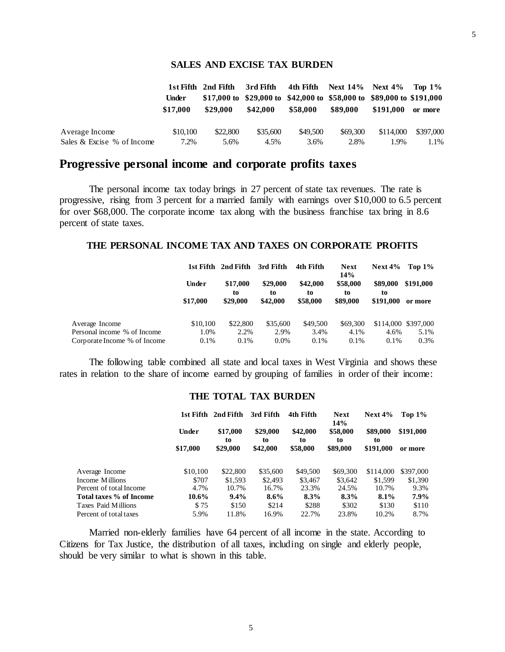#### **SALES AND EXCISE TAX BURDEN**

|                            |          | 1st Fifth 2nd Fifth | 3rd Fifth                                                             |          | 4th Fifth Next $14\%$ Next $4\%$ Top $1\%$ |           |           |
|----------------------------|----------|---------------------|-----------------------------------------------------------------------|----------|--------------------------------------------|-----------|-----------|
|                            | Under    |                     | \$17,000 to \$29,000 to \$42,000 to \$58,000 to \$89,000 to \$191,000 |          |                                            |           |           |
|                            | \$17.000 | \$29.000            | \$42,000                                                              | \$58,000 | \$89,000                                   | \$191.000 | or more   |
| Average Income             | \$10,100 | \$22,800            | \$35,600                                                              | \$49,500 | \$69,300                                   | \$114,000 | \$397,000 |
| Sales & Excise % of Income | $7.2\%$  | 5.6%                | 4.5%                                                                  | 3.6%     | 2.8%                                       | 1.9%      | 1.1%      |

## **Progressive personal income and corporate profits taxes**

The personal income tax today brings in 27 percent of state tax revenues. The rate is progressive, rising from 3 percent for a married family with earnings over \$10,000 to 6.5 percent for over \$68,000. The corporate income tax along with the business franchise tax bring in 8.6 percent of state taxes.

#### **THE PERSONAL INCOME TAX AND TAXES ON CORPORATE PROFITS**

|                              |          | 1st Fifth 2nd Fifth | 3rd Fifth      | 4th Fifth      | <b>Next</b><br>14% | Next $4\%$     | Top $1\%$           |
|------------------------------|----------|---------------------|----------------|----------------|--------------------|----------------|---------------------|
|                              | Under    | \$17,000<br>to      | \$29,000<br>to | \$42,000<br>to | \$58,000<br>to     | \$89,000<br>to | \$191,000           |
|                              | \$17,000 | \$29,000            | \$42,000       | \$58,000       | \$89,000           | \$191,000      | or more             |
| Average Income               | \$10,100 | \$22,800            | \$35,600       | \$49,500       | \$69,300           |                | \$114,000 \$397,000 |
| Personal income % of Income  | 1.0%     | 2.2%                | 2.9%           | 3.4%           | 4.1%               | 4.6%           | 5.1%                |
| Corporate Income % of Income | 0.1%     | 0.1%                | $0.0\%$        | $0.1\%$        | 0.1%               | $0.1\%$        | 0.3%                |

The following table combined all state and local taxes in West Virginia and shows these rates in relation to the share of income earned by grouping of families in order of their income:

#### **THE TOTAL TAX BURDEN**

|                         | 1st Fifth         | 2nd Fifth<br>3rd Fifth<br>4th Fifth |                            | <b>Next</b><br><b>14%</b>  | Next $4\%$                 |                             |                      |
|-------------------------|-------------------|-------------------------------------|----------------------------|----------------------------|----------------------------|-----------------------------|----------------------|
|                         | Under<br>\$17,000 | \$17,000<br>to<br>\$29,000          | \$29,000<br>to<br>\$42,000 | \$42,000<br>to<br>\$58,000 | \$58,000<br>to<br>\$89,000 | \$89,000<br>to<br>\$191,000 | \$191,000<br>or more |
|                         |                   |                                     |                            |                            |                            |                             |                      |
| Average Income          | \$10,100          | \$22,800                            | \$35,600                   | \$49,500                   | \$69,300                   | \$114,000                   | \$397,000            |
| Income Millions         | \$707             | \$1,593                             | \$2,493                    | \$3,467                    | \$3.642                    | \$1,599                     | \$1,390              |
| Percent of total Income | 4.7%              | 10.7%                               | 16.7%                      | 23.3%                      | 24.5%                      | 10.7%                       | 9.3%                 |
| Total taxes % of Income | $10.6\%$          | $9.4\%$                             | $8.6\%$                    | 8.3%                       | $8.3\%$                    | 8.1%                        | 7.9%                 |
| Taxes Paid Millions     | \$75              | \$150                               | \$214                      | \$288                      | \$302                      | \$130                       | \$110                |
| Percent of total taxes  | 5.9%              | 11.8%                               | 16.9%                      | 22.7%                      | 23.8%                      | 10.2%                       | 8.7%                 |

Married non-elderly families have 64 percent of all income in the state. According to Citizens for Tax Justice, the distribution of all taxes, including on single and elderly people, should be very similar to what is shown in this table.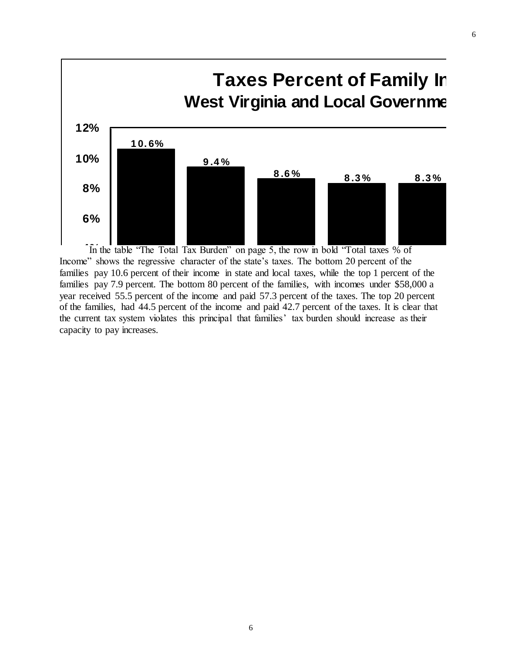

In the table "The Total Tax Burden" on page 5, the row in bold "Total taxes % of Income" shows the regressive character of the state's taxes. The bottom 20 percent of the families pay 10.6 percent of their income in state and local taxes, while the top 1 percent of the families pay 10.0 percent of their income in state and local taxes, while the top 1 percent of the families pay 7.9 percent. The bottom 80 percent of the families, with incomes under \$58,000 a year received 55.5 percent of year received 55.5 percent of the income and paid 57.3 percent of the taxes. The top 20 percent of the families, had 44.5 percent of the income and paid 42.7 percent of the taxes. It is clear that the current tax system violates this principal that families' tax burden should increase as their canacity to pay increases die eurent dax system violates<br>capacity to pay increases. **2 %**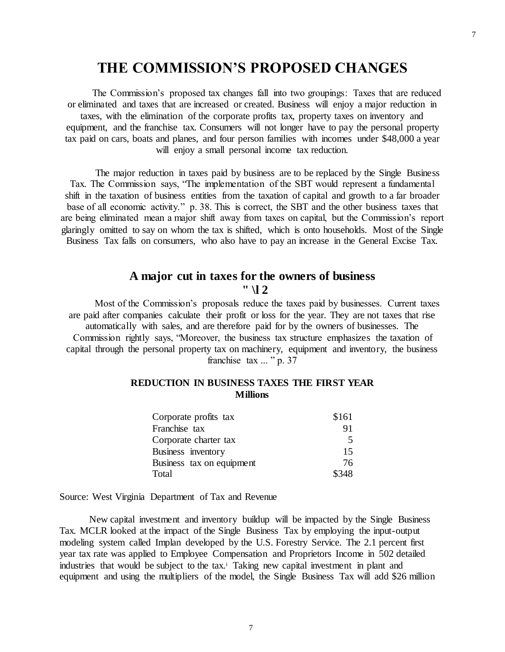# **THE COMMISSION'S PROPOSED CHANGES**

The Commission's proposed tax changes fall into two groupings: Taxes that are reduced or eliminated and taxes that are increased or created. Business will enjoy a major reduction in taxes, with the elimination of the corporate profits tax, property taxes on inventory and equipment, and the franchise tax. Consumers will not longer have to pay the personal property tax paid on cars, boats and planes, and four person families with incomes under \$48,000 a year will enjoy a small personal income tax reduction.

The major reduction in taxes paid by business are to be replaced by the Single Business Tax. The Commission says, "The implementation of the SBT would represent a fundamental shift in the taxation of business entities from the taxation of capital and growth to a far broader base of all economic activity." p. 38. This is correct, the SBT and the other business taxes that are being eliminated mean a major shift away from taxes on capital, but the Commission's report glaringly omitted to say on whom the tax is shifted, which is onto households. Most of the Single Business Tax falls on consumers, who also have to pay an increase in the General Excise Tax.

# **A major cut in taxes for the owners of business " \l 2**

Most of the Commission's proposals reduce the taxes paid by businesses. Current taxes are paid after companies calculate their profit or loss for the year. They are not taxes that rise automatically with sales, and are therefore paid for by the owners of businesses. The Commission rightly says, "Moreover, the business tax structure emphasizes the taxation of capital through the personal property tax on machinery, equipment and inventory, the business franchise tax ... " p. 37

#### **REDUCTION IN BUSINESS TAXES THE FIRST YEAR Millions**

| Corporate profits tax     | \$161 |
|---------------------------|-------|
| Franchise tax             | 91    |
| Corporate charter tax     | .5    |
| Business inventory        | 15    |
| Business tax on equipment | 76    |
| Total                     | \$348 |

Source: West Virginia Department of Tax and Revenue

New capital investment and inventory buildup will be impacted by the Single Business Tax. MCLR looked at the impact of the Single Business Tax by employing the input-output modeling system called Implan developed by the U.S. Forestry Service. The 2.1 percent first year tax rate was applied to Employee Compensation and Proprietors Income in 502 detailed industries that would be subject to the tax.<sup>i</sup> Taking new capital investment in plant and equipment and using the multipliers of the model, the Single Business Tax will add \$26 million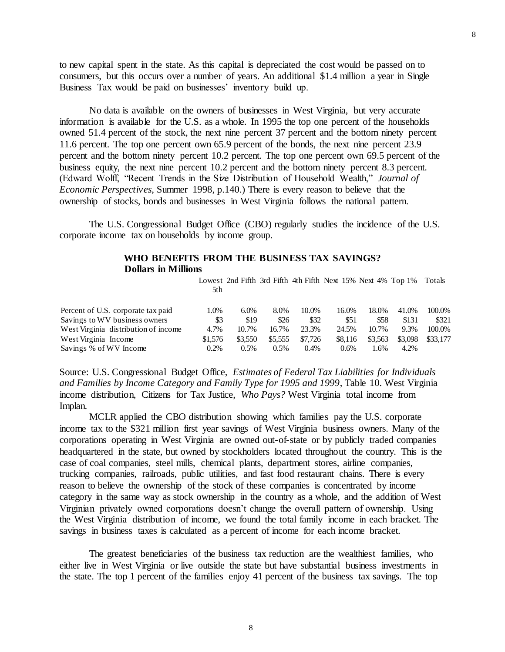to new capital spent in the state. As this capital is depreciated the cost would be passed on to consumers, but this occurs over a number of years. An additional \$1.4 million a year in Single Business Tax would be paid on businesses' inventory build up.

No data is available on the owners of businesses in West Virginia, but very accurate information is available for the U.S. as a whole. In 1995 the top one percent of the households owned 51.4 percent of the stock, the next nine percent 37 percent and the bottom ninety percent 11.6 percent. The top one percent own 65.9 percent of the bonds, the next nine percent 23.9 percent and the bottom ninety percent 10.2 percent. The top one percent own 69.5 percent of the business equity, the next nine percent 10.2 percent and the bottom ninety percent 8.3 percent. (Edward Wolff, "Recent Trends in the Size Distribution of Household Wealth," *Journal of Economic Perspectives*, Summer 1998, p.140.) There is every reason to believe that the ownership of stocks, bonds and businesses in West Virginia follows the national pattern.

The U.S. Congressional Budget Office (CBO) regularly studies the incidence of the U.S. corporate income tax on households by income group.

#### **WHO BENEFITS FROM THE BUSINESS TAX SAVINGS? Dollars in Millions**

Lowest 2nd Fifth 3rd Fifth 4th Fifth Next 15% Next 4% Top 1% Totals 5th

| Percent of U.S. corporate tax paid   | .0%     | $6.0\%$ | 8.0%    | 10.0%   | 16.0%   | 18.0%   | 41.0%   | 100.0%   |
|--------------------------------------|---------|---------|---------|---------|---------|---------|---------|----------|
| Savings to WV business owners        | \$3     | \$19    | \$26    | \$32    | \$51    | \$58    | \$131   | \$321    |
| West Virginia distribution of income | 4.7%    | 10.7%   | 16.7%   | 23.3%   | 24.5%   | 10.7%   | 9.3%    | 100.0%   |
| West Virginia Income                 | \$1.576 | \$3,550 | \$5.555 | \$7.726 | \$8,116 | \$3.563 | \$3,098 | \$33,177 |
| Savings % of WV Income               | $0.2\%$ | 0.5%    | 0.5%    | 0.4%    | $0.6\%$ | .6%     | 4.2%    |          |

Source: U.S. Congressional Budget Office, *Estimates of Federal Tax Liabilities for Individuals and Families by Income Category and Family Type for 1995 and 1999*, Table 10. West Virginia income distribution, Citizens for Tax Justice, *Who Pays?* West Virginia total income from Implan.

MCLR applied the CBO distribution showing which families pay the U.S. corporate income tax to the \$321 million first year savings of West Virginia business owners. Many of the corporations operating in West Virginia are owned out-of-state or by publicly traded companies headquartered in the state, but owned by stockholders located throughout the country. This is the case of coal companies, steel mills, chemical plants, department stores, airline companies, trucking companies, railroads, public utilities, and fast food restaurant chains. There is every reason to believe the ownership of the stock of these companies is concentrated by income category in the same way as stock ownership in the country as a whole, and the addition of West Virginian privately owned corporations doesn't change the overall pattern of ownership. Using the West Virginia distribution of income, we found the total family income in each bracket. The savings in business taxes is calculated as a percent of income for each income bracket.

The greatest beneficiaries of the business tax reduction are the wealthiest families, who either live in West Virginia or live outside the state but have substantial business investments in the state. The top 1 percent of the families enjoy 41 percent of the business tax savings. The top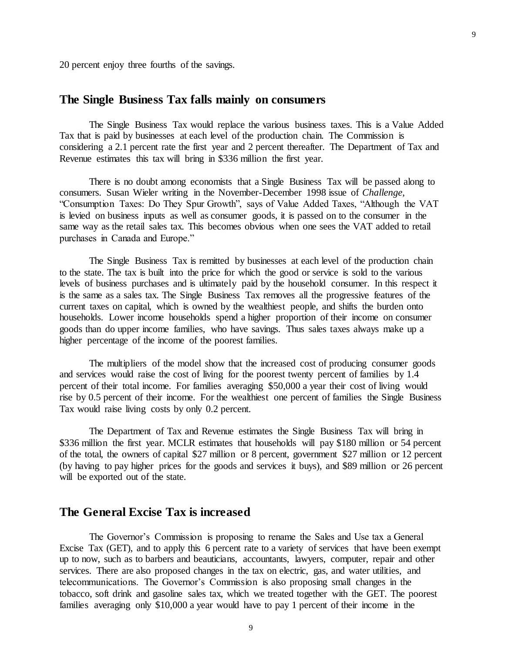20 percent enjoy three fourths of the savings.

## **The Single Business Tax falls mainly on consumers**

The Single Business Tax would replace the various business taxes. This is a Value Added Tax that is paid by businesses at each level of the production chain. The Commission is considering a 2.1 percent rate the first year and 2 percent thereafter. The Department of Tax and Revenue estimates this tax will bring in \$336 million the first year.

There is no doubt among economists that a Single Business Tax will be passed along to consumers. Susan Wieler writing in the November-December 1998 issue of *Challenge*, "Consumption Taxes: Do They Spur Growth", says of Value Added Taxes, "Although the VAT is levied on business inputs as well as consumer goods, it is passed on to the consumer in the same way as the retail sales tax. This becomes obvious when one sees the VAT added to retail purchases in Canada and Europe."

The Single Business Tax is remitted by businesses at each level of the production chain to the state. The tax is built into the price for which the good or service is sold to the various levels of business purchases and is ultimately paid by the household consumer. In this respect it is the same as a sales tax. The Single Business Tax removes all the progressive features of the current taxes on capital, which is owned by the wealthiest people, and shifts the burden onto households. Lower income households spend a higher proportion of their income on consumer goods than do upper income families, who have savings. Thus sales taxes always make up a higher percentage of the income of the poorest families.

The multipliers of the model show that the increased cost of producing consumer goods and services would raise the cost of living for the poorest twenty percent of families by 1.4 percent of their total income. For families averaging \$50,000 a year their cost of living would rise by 0.5 percent of their income. For the wealthiest one percent of families the Single Business Tax would raise living costs by only 0.2 percent.

The Department of Tax and Revenue estimates the Single Business Tax will bring in \$336 million the first year. MCLR estimates that households will pay \$180 million or 54 percent of the total, the owners of capital \$27 million or 8 percent, government \$27 million or 12 percent (by having to pay higher prices for the goods and services it buys), and \$89 million or 26 percent will be exported out of the state.

#### **The General Excise Tax is increased**

The Governor's Commission is proposing to rename the Sales and Use tax a General Excise Tax (GET), and to apply this 6 percent rate to a variety of services that have been exempt up to now, such as to barbers and beauticians, accountants, lawyers, computer, repair and other services. There are also proposed changes in the tax on electric, gas, and water utilities, and telecommunications. The Governor's Commission is also proposing small changes in the tobacco, soft drink and gasoline sales tax, which we treated together with the GET. The poorest families averaging only \$10,000 a year would have to pay 1 percent of their income in the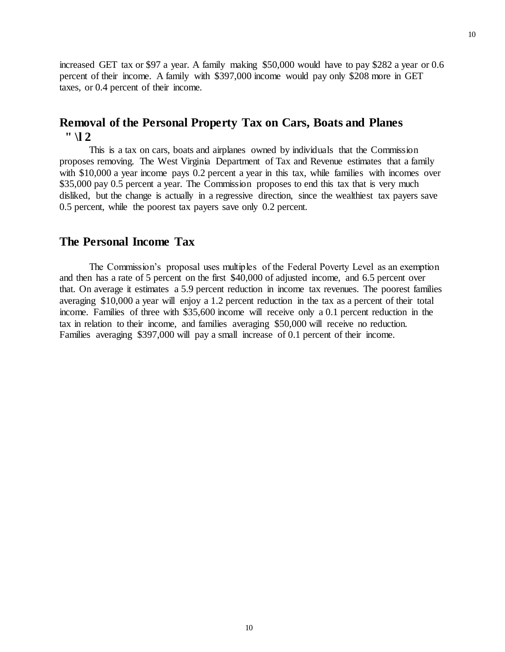increased GET tax or \$97 a year. A family making \$50,000 would have to pay \$282 a year or 0.6 percent of their income. A family with \$397,000 income would pay only \$208 more in GET taxes, or 0.4 percent of their income.

# **Removal of the Personal Property Tax on Cars, Boats and Planes " \l 2**

This is a tax on cars, boats and airplanes owned by individuals that the Commission proposes removing. The West Virginia Department of Tax and Revenue estimates that a family with \$10,000 a year income pays 0.2 percent a year in this tax, while families with incomes over \$35,000 pay 0.5 percent a year. The Commission proposes to end this tax that is very much disliked, but the change is actually in a regressive direction, since the wealthiest tax payers save 0.5 percent, while the poorest tax payers save only 0.2 percent.

## **The Personal Income Tax**

The Commission's proposal uses multiples of the Federal Poverty Level as an exemption and then has a rate of 5 percent on the first \$40,000 of adjusted income, and 6.5 percent over that. On average it estimates a 5.9 percent reduction in income tax revenues. The poorest families averaging \$10,000 a year will enjoy a 1.2 percent reduction in the tax as a percent of their total income. Families of three with \$35,600 income will receive only a 0.1 percent reduction in the tax in relation to their income, and families averaging \$50,000 will receive no reduction. Families averaging \$397,000 will pay a small increase of 0.1 percent of their income.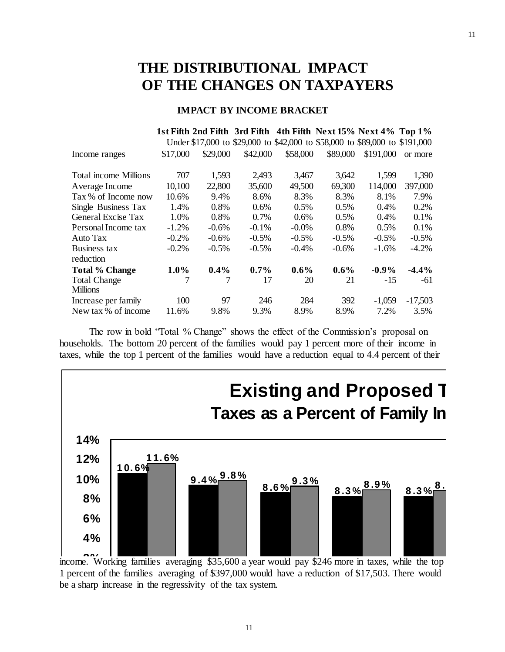# **THE DISTRIBUTIONAL IMPACT OF THE CHANGES ON TAXPAYERS**

#### **IMPACT BY INCOME BRACKET**

|                              |          |          |          |          | 1st Fifth 2nd Fifth 3rd Fifth 4th Fifth Next 15% Next 4% Top 1%             |           |           |
|------------------------------|----------|----------|----------|----------|-----------------------------------------------------------------------------|-----------|-----------|
|                              |          |          |          |          | Under \$17,000 to \$29,000 to \$42,000 to \$58,000 to \$89,000 to \$191,000 |           |           |
| Income ranges                | \$17,000 | \$29,000 | \$42,000 | \$58,000 | \$89,000                                                                    | \$191,000 | or more   |
| <b>Total income Millions</b> | 707      | 1,593    | 2,493    | 3,467    | 3,642                                                                       | 1,599     | 1,390     |
| Average Income               | 10,100   | 22,800   | 35,600   | 49,500   | 69,300                                                                      | 114,000   | 397,000   |
| Tax % of Income now          | 10.6%    | 9.4%     | 8.6%     | 8.3%     | 8.3%                                                                        | 8.1%      | 7.9%      |
| Single Business Tax          | 1.4%     | 0.8%     | 0.6%     | 0.5%     | $0.5\%$                                                                     | 0.4%      | 0.2%      |
| General Excise Tax           | 1.0%     | 0.8%     | 0.7%     | 0.6%     | $0.5\%$                                                                     | $0.4\%$   | 0.1%      |
| Personal Income tax          | $-1.2\%$ | $-0.6%$  | $-0.1\%$ | $-0.0\%$ | 0.8%                                                                        | 0.5%      | 0.1%      |
| Auto Tax                     | $-0.2\%$ | $-0.6%$  | $-0.5%$  | $-0.5\%$ | $-0.5\%$                                                                    | $-0.5\%$  | $-0.5%$   |
| Business tax                 | $-0.2%$  | $-0.5%$  | $-0.5\%$ | $-0.4\%$ | $-0.6\%$                                                                    | $-1.6%$   | $-4.2\%$  |
| reduction                    |          |          |          |          |                                                                             |           |           |
| <b>Total % Change</b>        | $1.0\%$  | $0.4\%$  | $0.7\%$  | $0.6\%$  | $0.6\%$                                                                     | $-0.9%$   | $-4.4%$   |
| <b>Total Change</b>          |          | 7        | 17       | 20       | 21                                                                          | $-15$     | -61       |
| <b>Millions</b>              |          |          |          |          |                                                                             |           |           |
| Increase per family          | 100      | 97       | 246      | 284      | 392                                                                         | $-1,059$  | $-17,503$ |
| New tax % of income          | 11.6%    | 9.8%     | 9.3%     | 8.9%     | 8.9%                                                                        | 7.2%      | 3.5%      |

The row in bold "Total % Change" shows the effect of the Commission's proposal on households. The bottom 20 percent of the families would pay 1 percent more of their income in taxes, while the top 1 percent of the families would have a reduction equal to 4.4 percent of their



income. Working families averaging \$35,600 a year would pay \$246 more in taxes, while the top 1 percent of the families averaging of \$397,000 would have a reduction of \$17,503. There would be a sharp increase in the regressivity of the tax system. **U \$29 K-\$42 K 0** %<br>ent of<br>harp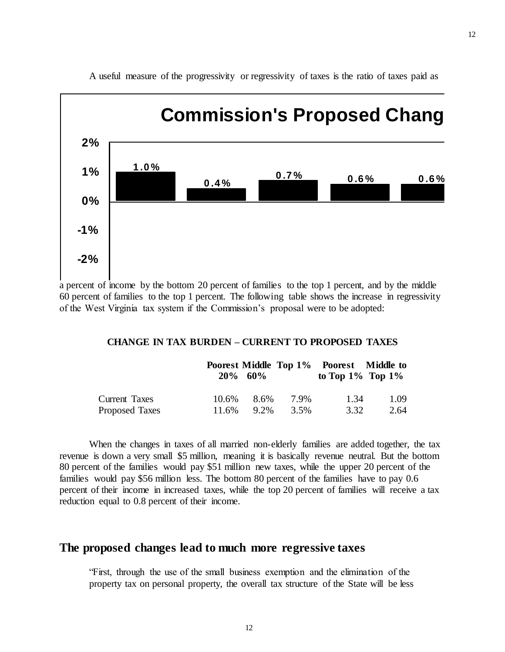

A useful measure of the progressivity or regressivity of taxes is the ratio of taxes paid as

a percent of income by the bottom 20 percent of families to the top 1 percent, and by the middle **-3%** 60 percent of families to the top 1 percent. The following table shows the increase in regressivity of the West Virginia tax system if the Commission's proposal were to be adopted:

#### **CHANGE IN TAX BURDEN – CURRENT TO PROPOSED TAXES**

|                |       | $20\%$ 60% |      | Poorest Middle Top 1% Poorest Middle to<br>to Top $1\%$ Top $1\%$ |      |
|----------------|-------|------------|------|-------------------------------------------------------------------|------|
| Current Taxes  | 10.6% | 8.6%       | 7.9% | 1.34                                                              | 1.09 |
| Proposed Taxes | 11.6% | 9.2%       | 3.5% | 3.32                                                              | 2.64 |

When the changes in taxes of all married non-elderly families are added together, the tax revenue is down a very small \$5 million, meaning it is basically revenue neutral. But the bottom 80 percent of the families would pay \$51 million new taxes, while the upper 20 percent of the families would pay \$56 million less. The bottom 80 percent of the families have to pay 0.6 percent of their income in increased taxes, while the top 20 percent of families will receive a tax reduction equal to 0.8 percent of their income.

#### **The proposed changes lead to much more regressive taxes**

"First, through the use of the small business exemption and the elimination of the property tax on personal property, the overall tax structure of the State will be less 12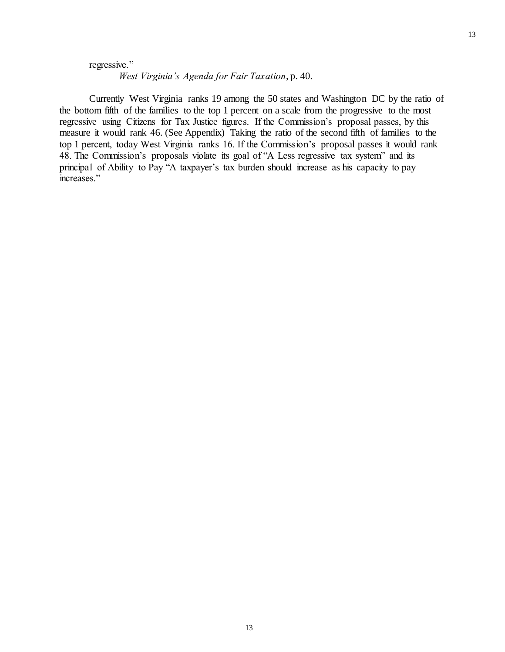#### regressive."

*West Virginia's Agenda for Fair Taxation*, p. 40.

Currently West Virginia ranks 19 among the 50 states and Washington DC by the ratio of the bottom fifth of the families to the top 1 percent on a scale from the progressive to the most regressive using Citizens for Tax Justice figures. If the Commission's proposal passes, by this measure it would rank 46. (See Appendix) Taking the ratio of the second fifth of families to the top 1 percent, today West Virginia ranks 16. If the Commission's proposal passes it would rank 48. The Commission's proposals violate its goal of "A Less regressive tax system" and its principal of Ability to Pay "A taxpayer's tax burden should increase as his capacity to pay increases."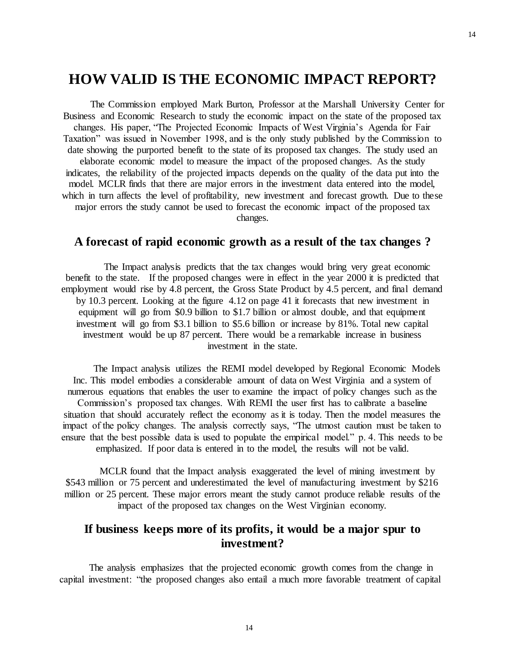# **HOW VALID IS THE ECONOMIC IMPACT REPORT?**

The Commission employed Mark Burton, Professor at the Marshall University Center for Business and Economic Research to study the economic impact on the state of the proposed tax changes. His paper, "The Projected Economic Impacts of West Virginia's Agenda for Fair Taxation" was issued in November 1998, and is the only study published by the Commission to date showing the purported benefit to the state of its proposed tax changes. The study used an elaborate economic model to measure the impact of the proposed changes. As the study indicates, the reliability of the projected impacts depends on the quality of the data put into the model. MCLR finds that there are major errors in the investment data entered into the model, which in turn affects the level of profitability, new investment and forecast growth. Due to these major errors the study cannot be used to forecast the economic impact of the proposed tax changes.

# **A forecast of rapid economic growth as a result of the tax changes ?**

The Impact analysis predicts that the tax changes would bring very great economic benefit to the state. If the proposed changes were in effect in the year 2000 it is predicted that employment would rise by 4.8 percent, the Gross State Product by 4.5 percent, and final demand by 10.3 percent. Looking at the figure 4.12 on page 41 it forecasts that new investment in equipment will go from \$0.9 billion to \$1.7 billion or almost double, and that equipment investment will go from \$3.1 billion to \$5.6 billion or increase by 81%. Total new capital investment would be up 87 percent. There would be a remarkable increase in business investment in the state.

The Impact analysis utilizes the REMI model developed by Regional Economic Models Inc. This model embodies a considerable amount of data on West Virginia and a system of numerous equations that enables the user to examine the impact of policy changes such as the Commission's proposed tax changes. With REMI the user first has to calibrate a baseline situation that should accurately reflect the economy as it is today. Then the model measures the impact of the policy changes. The analysis correctly says, "The utmost caution must be taken to ensure that the best possible data is used to populate the empirical model." p. 4. This needs to be emphasized. If poor data is entered in to the model, the results will not be valid.

MCLR found that the Impact analysis exaggerated the level of mining investment by \$543 million or 75 percent and underestimated the level of manufacturing investment by \$216 million or 25 percent. These major errors meant the study cannot produce reliable results of the impact of the proposed tax changes on the West Virginian economy.

# **If business keeps more of its profits, it would be a major spur to investment?**

The analysis emphasizes that the projected economic growth comes from the change in capital investment: "the proposed changes also entail a much more favorable treatment of capital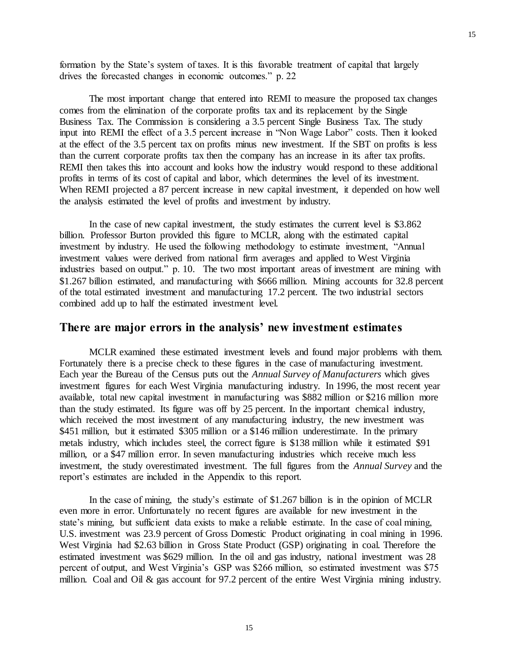formation by the State's system of taxes. It is this favorable treatment of capital that largely drives the forecasted changes in economic outcomes." p. 22

The most important change that entered into REMI to measure the proposed tax changes comes from the elimination of the corporate profits tax and its replacement by the Single Business Tax. The Commission is considering a 3.5 percent Single Business Tax. The study input into REMI the effect of a 3.5 percent increase in "Non Wage Labor" costs. Then it looked at the effect of the 3.5 percent tax on profits minus new investment. If the SBT on profits is less than the current corporate profits tax then the company has an increase in its after tax profits. REMI then takes this into account and looks how the industry would respond to these additional profits in terms of its cost of capital and labor, which determines the level of its investment. When REMI projected a 87 percent increase in new capital investment, it depended on how well the analysis estimated the level of profits and investment by industry.

In the case of new capital investment, the study estimates the current level is \$3.862 billion. Professor Burton provided this figure to MCLR, along with the estimated capital investment by industry. He used the following methodology to estimate investment, "Annual investment values were derived from national firm averages and applied to West Virginia industries based on output." p. 10. The two most important areas of investment are mining with \$1.267 billion estimated, and manufacturing with \$666 million. Mining accounts for 32.8 percent of the total estimated investment and manufacturing 17.2 percent. The two industrial sectors combined add up to half the estimated investment level.

## **There are major errors in the analysis' new investment estimates**

MCLR examined these estimated investment levels and found major problems with them. Fortunately there is a precise check to these figures in the case of manufacturing investment. Each year the Bureau of the Census puts out the *Annual Survey of Manufacturers* which gives investment figures for each West Virginia manufacturing industry. In 1996, the most recent year available, total new capital investment in manufacturing was \$882 million or \$216 million more than the study estimated. Its figure was off by 25 percent. In the important chemical industry, which received the most investment of any manufacturing industry, the new investment was \$451 million, but it estimated \$305 million or a \$146 million underestimate. In the primary metals industry, which includes steel, the correct figure is \$138 million while it estimated \$91 million, or a \$47 million error. In seven manufacturing industries which receive much less investment, the study overestimated investment. The full figures from the *Annual Survey* and the report's estimates are included in the Appendix to this report.

In the case of mining, the study's estimate of \$1.267 billion is in the opinion of MCLR even more in error. Unfortunately no recent figures are available for new investment in the state's mining, but sufficient data exists to make a reliable estimate. In the case of coal mining, U.S. investment was 23.9 percent of Gross Domestic Product originating in coal mining in 1996. West Virginia had \$2.63 billion in Gross State Product (GSP) originating in coal. Therefore the estimated investment was \$629 million. In the oil and gas industry, national investment was 28 percent of output, and West Virginia's GSP was \$266 million, so estimated investment was \$75 million. Coal and Oil & gas account for 97.2 percent of the entire West Virginia mining industry.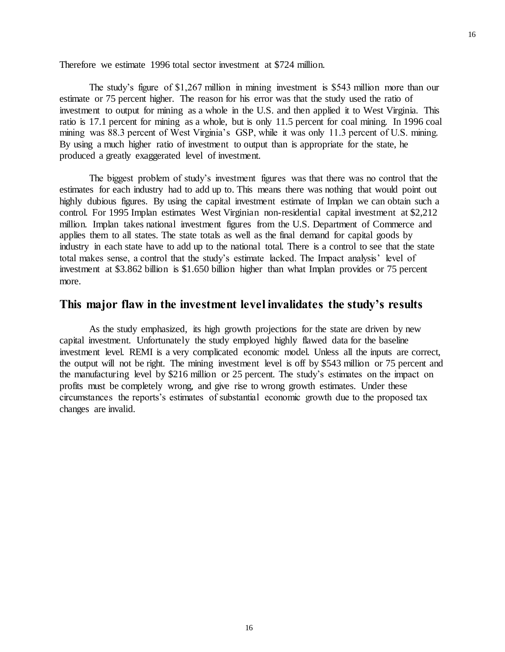Therefore we estimate 1996 total sector investment at \$724 million.

The study's figure of \$1,267 million in mining investment is \$543 million more than our estimate or 75 percent higher. The reason for his error was that the study used the ratio of investment to output for mining as a whole in the U.S. and then applied it to West Virginia. This ratio is 17.1 percent for mining as a whole, but is only 11.5 percent for coal mining. In 1996 coal mining was 88.3 percent of West Virginia's GSP, while it was only 11.3 percent of U.S. mining. By using a much higher ratio of investment to output than is appropriate for the state, he produced a greatly exaggerated level of investment.

The biggest problem of study's investment figures was that there was no control that the estimates for each industry had to add up to. This means there was nothing that would point out highly dubious figures. By using the capital investment estimate of Implan we can obtain such a control. For 1995 Implan estimates West Virginian non-residential capital investment at \$2,212 million. Implan takes national investment figures from the U.S. Department of Commerce and applies them to all states. The state totals as well as the final demand for capital goods by industry in each state have to add up to the national total. There is a control to see that the state total makes sense, a control that the study's estimate lacked. The Impact analysis' level of investment at \$3.862 billion is \$1.650 billion higher than what Implan provides or 75 percent more.

#### **This major flaw in the investment level invalidates the study's results**

As the study emphasized, its high growth projections for the state are driven by new capital investment. Unfortunately the study employed highly flawed data for the baseline investment level. REMI is a very complicated economic model. Unless all the inputs are correct, the output will not be right. The mining investment level is off by \$543 million or 75 percent and the manufacturing level by \$216 million or 25 percent. The study's estimates on the impact on profits must be completely wrong, and give rise to wrong growth estimates. Under these circumstances the reports's estimates of substantial economic growth due to the proposed tax changes are invalid.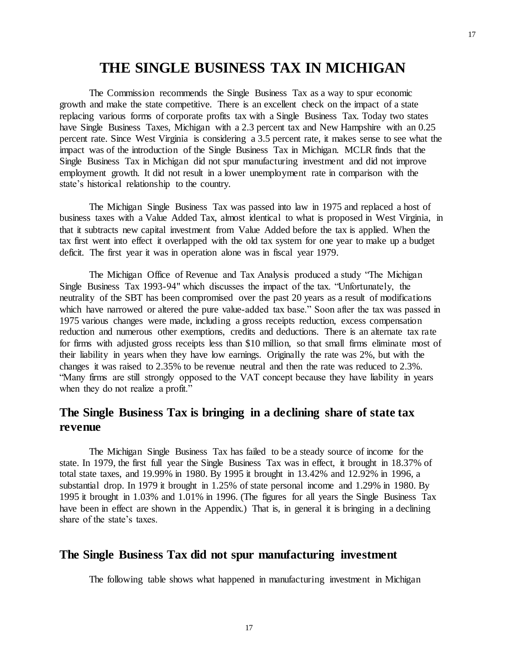# **THE SINGLE BUSINESS TAX IN MICHIGAN**

The Commission recommends the Single Business Tax as a way to spur economic growth and make the state competitive. There is an excellent check on the impact of a state replacing various forms of corporate profits tax with a Single Business Tax. Today two states have Single Business Taxes, Michigan with a 2.3 percent tax and New Hampshire with an 0.25 percent rate. Since West Virginia is considering a 3.5 percent rate, it makes sense to see what the impact was of the introduction of the Single Business Tax in Michigan. MCLR finds that the Single Business Tax in Michigan did not spur manufacturing investment and did not improve employment growth. It did not result in a lower unemployment rate in comparison with the state's historical relationship to the country.

The Michigan Single Business Tax was passed into law in 1975 and replaced a host of business taxes with a Value Added Tax, almost identical to what is proposed in West Virginia, in that it subtracts new capital investment from Value Added before the tax is applied. When the tax first went into effect it overlapped with the old tax system for one year to make up a budget deficit. The first year it was in operation alone was in fiscal year 1979.

The Michigan Office of Revenue and Tax Analysis produced a study "The Michigan Single Business Tax 1993-94" which discusses the impact of the tax. "Unfortunately, the neutrality of the SBT has been compromised over the past 20 years as a result of modifications which have narrowed or altered the pure value-added tax base." Soon after the tax was passed in 1975 various changes were made, including a gross receipts reduction, excess compensation reduction and numerous other exemptions, credits and deductions. There is an alternate tax rate for firms with adjusted gross receipts less than \$10 million, so that small firms eliminate most of their liability in years when they have low earnings. Originally the rate was 2%, but with the changes it was raised to 2.35% to be revenue neutral and then the rate was reduced to 2.3%. "Many firms are still strongly opposed to the VAT concept because they have liability in years when they do not realize a profit."

# **The Single Business Tax is bringing in a declining share of state tax revenue**

The Michigan Single Business Tax has failed to be a steady source of income for the state. In 1979, the first full year the Single Business Tax was in effect, it brought in 18.37% of total state taxes, and 19.99% in 1980. By 1995 it brought in 13.42% and 12.92% in 1996, a substantial drop. In 1979 it brought in 1.25% of state personal income and 1.29% in 1980. By 1995 it brought in 1.03% and 1.01% in 1996. (The figures for all years the Single Business Tax have been in effect are shown in the Appendix.) That is, in general it is bringing in a declining share of the state's taxes.

## **The Single Business Tax did not spur manufacturing investment**

The following table shows what happened in manufacturing investment in Michigan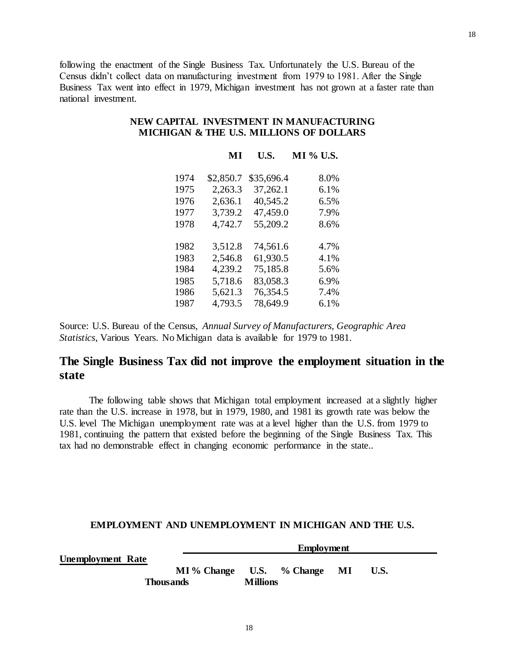following the enactment of the Single Business Tax. Unfortunately the U.S. Bureau of the Census didn't collect data on manufacturing investment from 1979 to 1981. After the Single Business Tax went into effect in 1979, Michigan investment has not grown at a faster rate than national investment.

#### **NEW CAPITAL INVESTMENT IN MANUFACTURING MICHIGAN & THE U.S. MILLIONS OF DOLLARS**

**MI U.S. MI % U.S.**

|      | мı        | US.        | MI % U.S. |
|------|-----------|------------|-----------|
| 1974 | \$2,850.7 | \$35,696.4 | 8.0%      |
| 1975 | 2,263.3   | 37,262.1   | $6.1\%$   |
| 1976 | 2,636.1   | 40,545.2   | $6.5\%$   |
| 1977 | 3,739.2   | 47,459.0   | 7.9%      |
| 1978 | 4,742.7   | 55,209.2   | 8.6%      |
|      |           |            |           |
| 1982 | 3,512.8   | 74,561.6   | 4.7%      |
| 1983 | 2,546.8   | 61,930.5   | 4.1%      |
| 1984 | 4,239.2   | 75,185.8   | 5.6%      |
| 1985 | 5,718.6   | 83,058.3   | 6.9%      |
| 1986 | 5,621.3   | 76,354.5   | 7.4%      |
| 1987 | 4,793.5   | 78.649.9   | 6.1%      |
|      |           |            |           |

Source: U.S. Bureau of the Census, *Annual Survey of Manufacturers, Geographic Area Statistics*, Various Years. No Michigan data is available for 1979 to 1981.

# **The Single Business Tax did not improve the employment situation in the state**

The following table shows that Michigan total employment increased at a slightly higher rate than the U.S. increase in 1978, but in 1979, 1980, and 1981 its growth rate was below the U.S. level The Michigan unemployment rate was at a level higher than the U.S. from 1979 to 1981, continuing the pattern that existed before the beginning of the Single Business Tax. This tax had no demonstrable effect in changing economic performance in the state..

#### **EMPLOYMENT AND UNEMPLOYMENT IN MICHIGAN AND THE U.S.**

|                          |                  | <b>Employment</b> |               |    |      |  |  |  |  |
|--------------------------|------------------|-------------------|---------------|----|------|--|--|--|--|
| <b>Unemployment Rate</b> |                  |                   |               |    |      |  |  |  |  |
|                          | MI % Change      |                   | U.S. % Change | MI | U.S. |  |  |  |  |
|                          | <b>Thousands</b> | <b>Millions</b>   |               |    |      |  |  |  |  |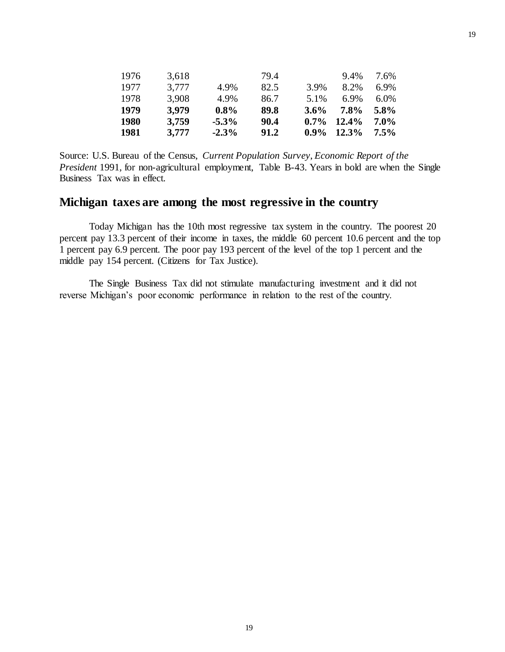| 1976        | 3,618 |          | 79.4 |         | 9.4%     | 7.6%    |
|-------------|-------|----------|------|---------|----------|---------|
| 1977        | 3,777 | 4.9%     | 82.5 | 3.9%    | 8.2%     | $6.9\%$ |
| 1978        | 3,908 | 4.9%     | 86.7 | 5.1%    | 6.9%     | $6.0\%$ |
| 1979        | 3.979 | $0.8\%$  | 89.8 | $3.6\%$ | 7.8%     | 5.8%    |
| <b>1980</b> | 3,759 | $-5.3\%$ | 90.4 | $0.7\%$ | 12.4%    | $7.0\%$ |
| 1981        | 3,777 | $-2.3\%$ | 91.2 | $0.9\%$ | $12.3\%$ | $7.5\%$ |

Source: U.S. Bureau of the Census, *Current Population Survey*, *Economic Report of the President* 1991, for non-agricultural employment, Table B-43. Years in bold are when the Single Business Tax was in effect.

# **Michigan taxes are among the most regressive in the country**

Today Michigan has the 10th most regressive tax system in the country. The poorest 20 percent pay 13.3 percent of their income in taxes, the middle 60 percent 10.6 percent and the top 1 percent pay 6.9 percent. The poor pay 193 percent of the level of the top 1 percent and the middle pay 154 percent. (Citizens for Tax Justice).

The Single Business Tax did not stimulate manufacturing investment and it did not reverse Michigan's poor economic performance in relation to the rest of the country.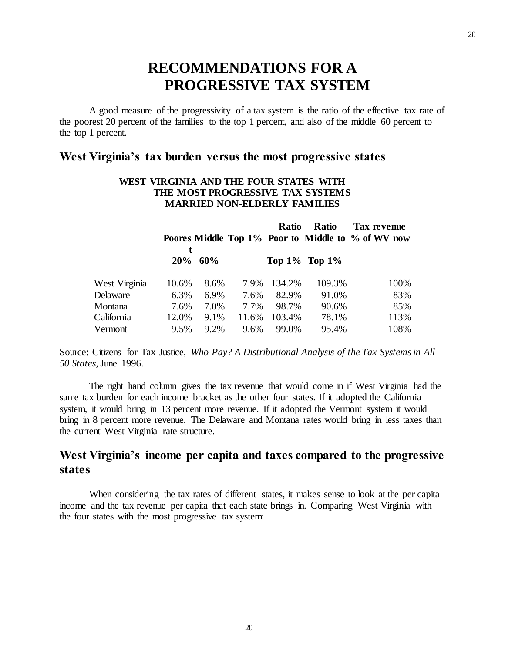# **RECOMMENDATIONS FOR A PROGRESSIVE TAX SYSTEM**

A good measure of the progressivity of a tax system is the ratio of the effective tax rate of the poorest 20 percent of the families to the top 1 percent, and also of the middle 60 percent to the top 1 percent.

# **West Virginia's tax burden versus the most progressive states**

#### **WEST VIRGINIA AND THE FOUR STATES WITH THE MOST PROGRESSIVE TAX SYSTEMS MARRIED NON-ELDERLY FAMILIES**

|               |       |            |       | Ratio  | <b>Ratio</b>        | Tax revenue                                        |
|---------------|-------|------------|-------|--------|---------------------|----------------------------------------------------|
|               |       |            |       |        |                     | Poores Middle Top 1% Poor to Middle to % of WV now |
|               |       | $20\%$ 60% |       |        | Top $1\%$ Top $1\%$ |                                                    |
| West Virginia | 10.6% | 8.6%       | 7.9%  | 134.2% | 109.3%              | 100%                                               |
| Delaware      | 6.3%  | 6.9%       | 7.6%  | 82.9%  | 91.0%               | 83%                                                |
| Montana       | 7.6%  | 7.0%       | 7.7%  | 98.7%  | 90.6%               | 85%                                                |
| California    | 12.0% | 9.1%       | 11.6% | 103.4% | 78.1%               | 113%                                               |
| Vermont       | 9.5%  | 9.2%       | 9.6%  | 99.0%  | 95.4%               | 108%                                               |

Source: Citizens for Tax Justice, *Who Pay? A Distributional Analysis of the Tax Systems in All 50 States,*June 1996.

The right hand column gives the tax revenue that would come in if West Virginia had the same tax burden for each income bracket as the other four states. If it adopted the California system, it would bring in 13 percent more revenue. If it adopted the Vermont system it would bring in 8 percent more revenue. The Delaware and Montana rates would bring in less taxes than the current West Virginia rate structure.

# **West Virginia's income per capita and taxes compared to the progressive states**

When considering the tax rates of different states, it makes sense to look at the per capita income and the tax revenue per capita that each state brings in. Comparing West Virginia with the four states with the most progressive tax system: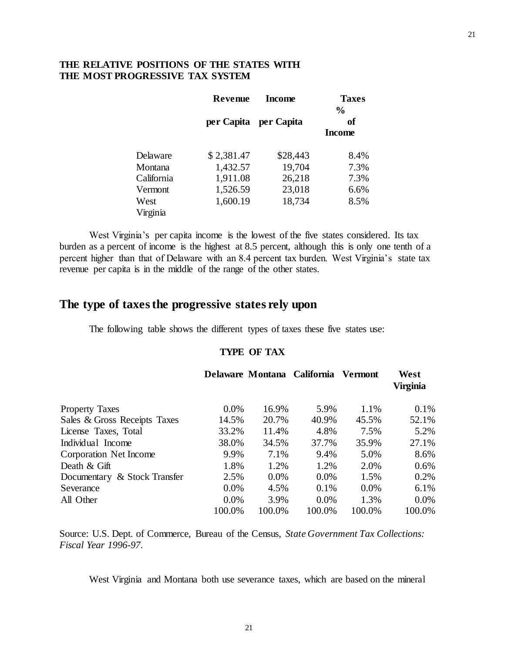#### **THE RELATIVE POSITIONS OF THE STATES WITH THE MOST PROGRESSIVE TAX SYSTEM**

|                  | Revenue    | <b>Income</b>         | <b>Taxes</b><br>$\frac{6}{9}$ |
|------------------|------------|-----------------------|-------------------------------|
|                  |            | per Capita per Capita | оf<br><b>Income</b>           |
| Delaware         | \$2,381.47 | \$28,443              | 8.4%                          |
| Montana          | 1,432.57   | 19,704                | 7.3%                          |
| California       | 1,911.08   | 26,218                | 7.3%                          |
| Vermont          | 1,526.59   | 23,018                | 6.6%                          |
| West<br>Virginia | 1,600.19   | 18,734                | 8.5%                          |

West Virginia's per capita income is the lowest of the five states considered. Its tax burden as a percent of income is the highest at 8.5 percent, although this is only one tenth of a percent higher than that of Delaware with an 8.4 percent tax burden. West Virginia's state tax revenue per capita is in the middle of the range of the other states.

# **The type of taxes the progressive states rely upon**

The following table shows the different types of taxes these five states use:

#### **TYPE OF TAX**

|                              |         |         | Delaware Montana California | <b>Vermont</b> | West<br><b>Virginia</b> |
|------------------------------|---------|---------|-----------------------------|----------------|-------------------------|
| <b>Property Taxes</b>        | $0.0\%$ | 16.9%   | 5.9%                        | 1.1%           | 0.1%                    |
| Sales & Gross Receipts Taxes | 14.5%   | 20.7%   | 40.9%                       | 45.5%          | 52.1%                   |
| License Taxes, Total         | 33.2%   | 11.4%   | 4.8%                        | 7.5%           | 5.2%                    |
| Individual Income            | 38.0%   | 34.5%   | 37.7%                       | 35.9%          | 27.1%                   |
| Corporation Net Income       | 9.9%    | 7.1%    | 9.4%                        | 5.0%           | 8.6%                    |
| Death & Gift                 | 1.8%    | 1.2%    | 1.2%                        | 2.0%           | 0.6%                    |
| Documentary & Stock Transfer | 2.5%    | $0.0\%$ | $0.0\%$                     | 1.5%           | 0.2%                    |
| Severance                    | $0.0\%$ | 4.5%    | 0.1%                        | $0.0\%$        | 6.1%                    |
| All Other                    | $0.0\%$ | 3.9%    | $0.0\%$                     | 1.3%           | 0.0%                    |
|                              | 100.0%  | 100.0%  | 100.0%                      | 100.0%         | 100.0%                  |

Source: U.S. Dept. of Commerce, Bureau of the Census, *State Government Tax Collections: Fiscal Year 1996-97*.

West Virginia and Montana both use severance taxes, which are based on the mineral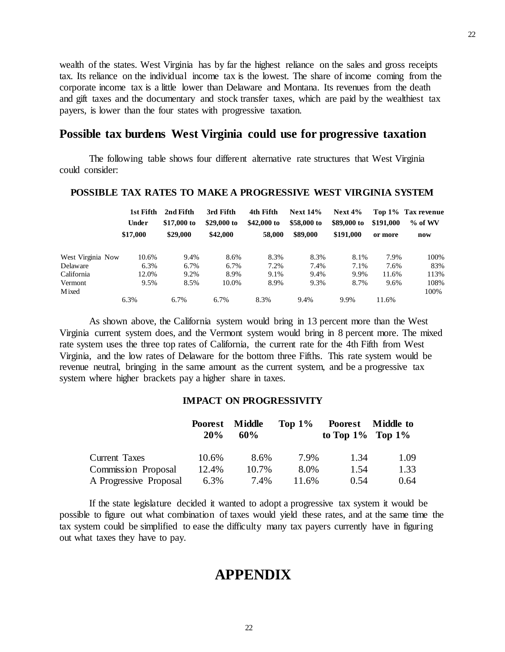wealth of the states. West Virginia has by far the highest reliance on the sales and gross receipts tax. Its reliance on the individual income tax is the lowest. The share of income coming from the corporate income tax is a little lower than Delaware and Montana. Its revenues from the death and gift taxes and the documentary and stock transfer taxes, which are paid by the wealthiest tax payers, is lower than the four states with progressive taxation.

# **Possible tax burdens West Virginia could use for progressive taxation**

The following table shows four different alternative rate structures that West Virginia could consider:

|                   | 1st Fifth<br>Under<br>\$17,000 | 2nd Fifth<br>\$17,000 to<br>\$29,000 | 3rd Fifth<br>\$29,000 to<br>\$42,000 | 4th Fifth<br>\$42,000 to<br>58,000 | <b>Next 14%</b><br>\$58,000 to<br>\$89,000 | Next $4\%$<br>\$89,000 to<br>\$191,000 | \$191,000<br>or more | Top 1% Tax revenue<br>$%$ of WV<br>now |
|-------------------|--------------------------------|--------------------------------------|--------------------------------------|------------------------------------|--------------------------------------------|----------------------------------------|----------------------|----------------------------------------|
|                   |                                |                                      |                                      |                                    |                                            |                                        |                      |                                        |
| West Virginia Now | 10.6%                          | 9.4%                                 | 8.6%                                 | 8.3%                               | 8.3%                                       | 8.1%                                   | 7.9%                 | 100%                                   |
| Delaware          | 6.3%                           | 6.7%                                 | 6.7%                                 | 7.2%                               | 7.4%                                       | 7.1%                                   | 7.6%                 | 83%                                    |
| California        | 12.0%                          | 9.2%                                 | 8.9%                                 | 9.1%                               | 9.4%                                       | 9.9%                                   | 11.6%                | 113%                                   |
| Vermont           | 9.5%                           | 8.5%                                 | 10.0%                                | 8.9%                               | 9.3%                                       | 8.7%                                   | 9.6%                 | 108%                                   |
| <b>M</b> ixed     |                                |                                      |                                      |                                    |                                            |                                        |                      | 100%                                   |
|                   | 6.3%                           | 6.7%                                 | 6.7%                                 | 8.3%                               | 9.4%                                       | 9.9%                                   | 11.6%                |                                        |

#### **POSSIBLE TAX RATES TO MAKE A PROGRESSIVE WEST VIRGINIA SYSTEM**

As shown above, the California system would bring in 13 percent more than the West Virginia current system does, and the Vermont system would bring in 8 percent more. The mixed rate system uses the three top rates of California, the current rate for the 4th Fifth from West Virginia, and the low rates of Delaware for the bottom three Fifths. This rate system would be revenue neutral, bringing in the same amount as the current system, and be a progressive tax system where higher brackets pay a higher share in taxes.

#### **IMPACT ON PROGRESSIVITY**

|                            | Poorest Middle<br>20% | 60%   | Top $1\%$ | to Top $1\%$ Top $1\%$ | Poorest Middle to |
|----------------------------|-----------------------|-------|-----------|------------------------|-------------------|
| Current Taxes              | 10.6%                 | 8.6%  | 7.9%      | 1.34                   | 1.09              |
| <b>Commission Proposal</b> | 12.4%                 | 10.7% | 8.0%      | 1.54                   | 1.33              |
| A Progressive Proposal     | 6.3%                  | 7.4%  | 11.6%     | 0.54                   | 0.64              |

If the state legislature decided it wanted to adopt a progressive tax system it would be possible to figure out what combination of taxes would yield these rates, and at the same time the tax system could be simplified to ease the difficulty many tax payers currently have in figuring out what taxes they have to pay.

# **APPENDIX**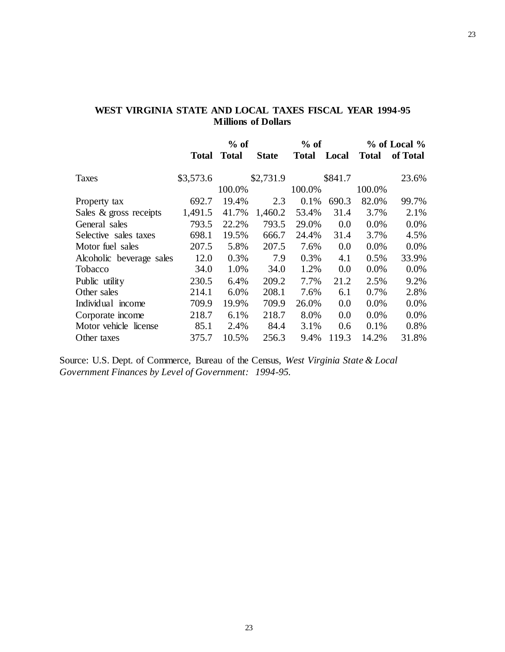|                          |              | $%$ of       |              | $%$ of       |         |              | $%$ of Local $%$ |
|--------------------------|--------------|--------------|--------------|--------------|---------|--------------|------------------|
|                          | <b>Total</b> | <b>Total</b> | <b>State</b> | <b>Total</b> | Local   | <b>Total</b> | of Total         |
| <b>Taxes</b>             | \$3,573.6    |              | \$2,731.9    |              | \$841.7 |              | 23.6%            |
|                          |              | 100.0%       |              | 100.0%       |         | 100.0%       |                  |
| Property tax             | 692.7        | 19.4%        | 2.3          | 0.1%         | 690.3   | 82.0%        | 99.7%            |
| Sales & gross receipts   | 1,491.5      | 41.7%        | 1,460.2      | 53.4%        | 31.4    | 3.7%         | 2.1%             |
| General sales            | 793.5        | 22.2%        | 793.5        | 29.0%        | 0.0     | 0.0%         | 0.0%             |
| Selective sales taxes    | 698.1        | 19.5%        | 666.7        | 24.4%        | 31.4    | 3.7%         | 4.5%             |
| Motor fuel sales         | 207.5        | 5.8%         | 207.5        | 7.6%         | 0.0     | 0.0%         | $0.0\%$          |
| Alcoholic beverage sales | 12.0         | 0.3%         | 7.9          | 0.3%         | 4.1     | 0.5%         | 33.9%            |
| Tobacco                  | 34.0         | 1.0%         | 34.0         | 1.2%         | 0.0     | $0.0\%$      | $0.0\%$          |
| Public utility           | 230.5        | 6.4%         | 209.2        | 7.7%         | 21.2    | 2.5%         | 9.2%             |
| Other sales              | 214.1        | 6.0%         | 208.1        | 7.6%         | 6.1     | 0.7%         | 2.8%             |
| Individual income        | 709.9        | 19.9%        | 709.9        | 26.0%        | 0.0     | 0.0%         | 0.0%             |
| Corporate income         | 218.7        | 6.1%         | 218.7        | 8.0%         | 0.0     | 0.0%         | 0.0%             |
| Motor vehicle license    | 85.1         | 2.4%         | 84.4         | 3.1%         | 0.6     | 0.1%         | 0.8%             |
| Other taxes              | 375.7        | 10.5%        | 256.3        | 9.4%         | 119.3   | 14.2%        | 31.8%            |

## **WEST VIRGINIA STATE AND LOCAL TAXES FISCAL YEAR 1994-95 Millions of Dollars**

Source: U.S. Dept. of Commerce, Bureau of the Census, *West Virginia State & Local Government Finances by Level of Government: 1994-95.*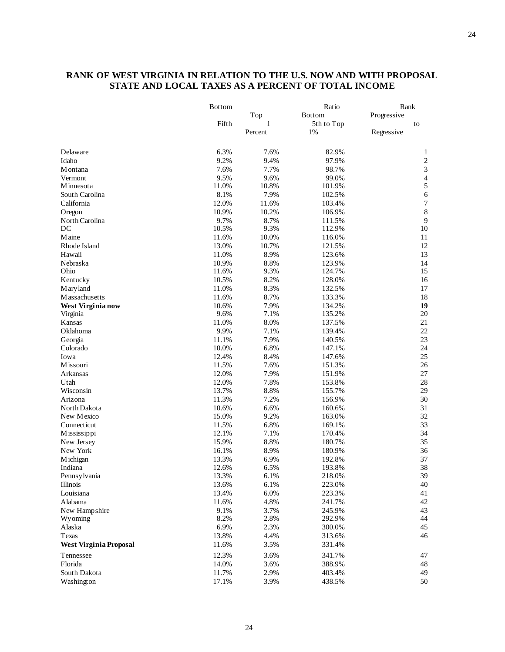#### **RANK OF WEST VIRGINIA IN RELATION TO THE U.S. NOW AND WITH PROPOSAL STATE AND LOCAL TAXES AS A PERCENT OF TOTAL INCOME**

|                               | <b>Bottom</b> |         | Ratio         | Rank        |                  |  |
|-------------------------------|---------------|---------|---------------|-------------|------------------|--|
|                               |               | Top     | <b>Bottom</b> | Progressive |                  |  |
|                               | Fifth         | 1       | 5th to Top    | to          |                  |  |
|                               |               | Percent | 1%            | Regressive  |                  |  |
| Delaware                      | 6.3%          | 7.6%    | 82.9%         |             | 1                |  |
| Idaho                         | 9.2%          | 9.4%    | 97.9%         |             | $\sqrt{2}$       |  |
| M ontana                      | 7.6%          | 7.7%    | 98.7%         |             | $\mathfrak 3$    |  |
| Vermont                       | 9.5%          | 9.6%    | 99.0%         |             | $\overline{4}$   |  |
| Minnesota                     | 11.0%         | 10.8%   | 101.9%        |             | 5                |  |
| South Carolina                | 8.1%          | 7.9%    | 102.5%        |             | $\overline{6}$   |  |
| California                    | 12.0%         | 11.6%   | 103.4%        |             | $\boldsymbol{7}$ |  |
| Oregon                        | 10.9%         | 10.2%   | 106.9%        |             | $\,8\,$          |  |
| North Carolina                | 9.7%          | 8.7%    | 111.5%        |             | $\overline{9}$   |  |
| DC                            | 10.5%         | 9.3%    | 112.9%        |             | $10\,$           |  |
| Maine                         | 11.6%         | 10.0%   | 116.0%        |             | 11               |  |
| Rhode Island                  | 13.0%         | 10.7%   | 121.5%        |             | 12               |  |
| Hawaii                        | 11.0%         | 8.9%    | 123.6%        |             | 13               |  |
| Nebraska                      | 10.9%         | 8.8%    | 123.9%        |             | 14               |  |
| Ohio                          | 11.6%         | 9.3%    | 124.7%        |             | 15               |  |
| Kentucky                      | 10.5%         | 8.2%    | 128.0%        |             | 16               |  |
| M ary land                    | 11.0%         | 8.3%    | 132.5%        |             | 17               |  |
| <b>Massachusetts</b>          | 11.6%         | 8.7%    | 133.3%        |             | 18               |  |
| West Virginia now             | 10.6%         | 7.9%    | 134.2%        |             | 19               |  |
| Virginia                      | 9.6%          | 7.1%    | 135.2%        |             | $20\,$           |  |
| Kansas                        | 11.0%         | 8.0%    | 137.5%        |             | 21               |  |
| Oklahoma                      | 9.9%          | 7.1%    | 139.4%        |             | $22\,$           |  |
| Georgia                       | 11.1%         | 7.9%    | 140.5%        |             | 23               |  |
| Colorado                      | 10.0%         | 6.8%    | 147.1%        |             | 24               |  |
| Iowa                          | 12.4%         | 8.4%    | 147.6%        |             | 25               |  |
| Missouri                      | 11.5%         | 7.6%    | 151.3%        |             | $26\,$           |  |
| Arkansas                      | 12.0%         | 7.9%    | 151.9%        |             | 27               |  |
| Utah                          | 12.0%         | 7.8%    | 153.8%        |             | 28               |  |
| Wisconsin                     | 13.7%         | 8.8%    | 155.7%        |             | 29               |  |
| Arizona                       | 11.3%         | 7.2%    | 156.9%        |             | 30               |  |
| North Dakota                  | 10.6%         | 6.6%    | 160.6%        |             | 31               |  |
| New Mexico                    | 15.0%         | 9.2%    | 163.0%        |             | 32               |  |
| Connecticut                   | 11.5%         | 6.8%    | 169.1%        |             | 33               |  |
| Mississippi                   | 12.1%         | 7.1%    | 170.4%        |             | 34               |  |
| New Jersey                    | 15.9%         | 8.8%    | 180.7%        |             | 35               |  |
| New York                      | 16.1%         | 8.9%    | 180.9%        |             | 36               |  |
| Michigan                      | 13.3%         | 6.9%    | 192.8%        |             | 37               |  |
| Indiana                       | 12.6%         | 6.5%    | 193.8%        |             | 38               |  |
| Pennsylvania                  | 13.3%         | 6.1%    | 218.0%        |             | 39               |  |
| Illinois                      | 13.6%         | 6.1%    | 223.0%        |             | 40               |  |
| Louisiana                     | 13.4%         | 6.0%    | 223.3%        |             | 41               |  |
| Alabama                       | 11.6%         | 4.8%    | 241.7%        |             | 42               |  |
| New Hampshire                 | 9.1%          | 3.7%    | 245.9%        |             | 43               |  |
| Wyoming                       | 8.2%          | 2.8%    | 292.9%        |             | 44               |  |
| Alaska                        | 6.9%          | 2.3%    | 300.0%        |             | 45               |  |
| Texas                         | 13.8%         | 4.4%    | 313.6%        |             | 46               |  |
| <b>West Virginia Proposal</b> | 11.6%         | 3.5%    | 331.4%        |             |                  |  |
| Tennessee                     | 12.3%         | 3.6%    | 341.7%        |             | 47               |  |
| Florida                       | 14.0%         | 3.6%    | 388.9%        |             | 48               |  |
| South Dakota                  | 11.7%         | 2.9%    | 403.4%        |             | 49               |  |
| Washington                    | 17.1%         | 3.9%    | 438.5%        |             | 50               |  |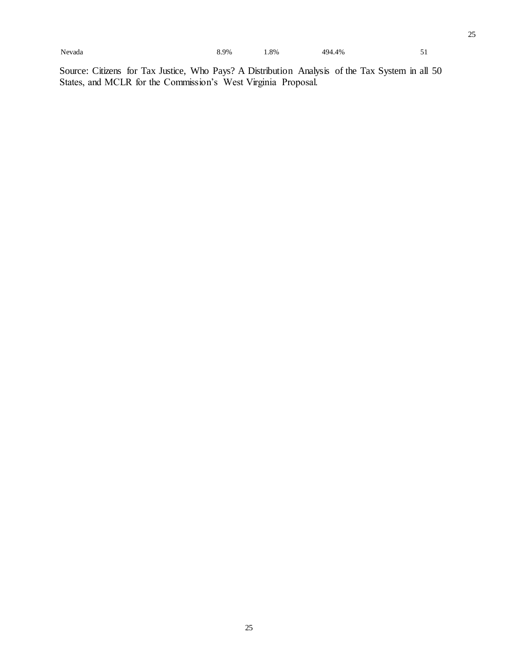25

Source: Citizens for Tax Justice, Who Pays? A Distribution Analysis of the Tax System in all 50 States, and MCLR for the Commission's West Virginia Proposal.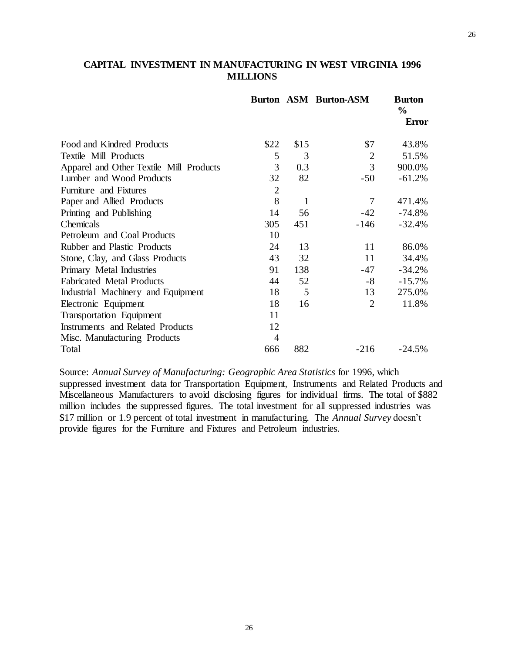## **Burton ASM Burton-ASM Burton % Error** Food and Kindred Products  $$22 \quad $15$   $$7 \quad 43.8\%$ Textile Mill Products and the state of the state of the state of the state of the state of the state of the state of the state of the state of the state of the state of the state of the state of the state of the state of t Apparel and Other Textile Mill Products  $30.3$   $30.3$   $3$  900.0% Lumber and Wood Products  $\frac{32}{82}$  82  $\frac{-50}{61.2\%}$ Furniture and Fixtures 2 Paper and Allied Products and Solution 8 1 7 471.4% Printing and Publishing 2003 14 56 -42 -74.8% Chemicals 305 451 -146 -32.4% Petroleum and Coal Products 10 Rubber and Plastic Products 24 13 11 86.0% Stone, Clay, and Glass Products 43 32 11 34.4% Primary Metal Industries 01 138 -47 -34.2% Fabricated Metal Products and 44 52 -8 -15.7% Industrial Machinery and Equipment 18 5 13 275.0% Electronic Equipment 18 16 2 11.8% Transportation Equipment 11 Instruments and Related Products 12 Misc. Manufacturing Products 4

## **CAPITAL INVESTMENT IN MANUFACTURING IN WEST VIRGINIA 1996 MILLIONS**

Source: *Annual Survey of Manufacturing: Geographic Area Statistics* for 1996, which suppressed investment data for Transportation Equipment, Instruments and Related Products and Miscellaneous Manufacturers to avoid disclosing figures for individual firms. The total of \$882 million includes the suppressed figures. The total investment for all suppressed industries was \$17 million or 1.9 percent of total investment in manufacturing. The *Annual Survey* doesn't provide figures for the Furniture and Fixtures and Petroleum industries.

Total 666 882 -216 -24.5%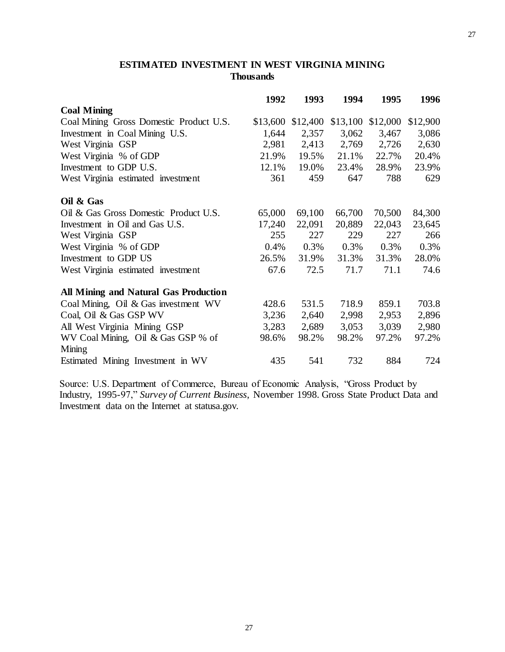## **ESTIMATED INVESTMENT IN WEST VIRGINIA MINING Thousands**

|                                         | 1992     | 1993     | 1994     | 1995     | 1996     |
|-----------------------------------------|----------|----------|----------|----------|----------|
| <b>Coal Mining</b>                      |          |          |          |          |          |
| Coal Mining Gross Domestic Product U.S. | \$13,600 | \$12,400 | \$13,100 | \$12,000 | \$12,900 |
| Investment in Coal Mining U.S.          | 1,644    | 2,357    | 3,062    | 3,467    | 3,086    |
| West Virginia GSP                       | 2,981    | 2,413    | 2,769    | 2,726    | 2,630    |
| West Virginia % of GDP                  | 21.9%    | 19.5%    | 21.1%    | 22.7%    | 20.4%    |
| Investment to GDP U.S.                  | 12.1%    | 19.0%    | 23.4%    | 28.9%    | 23.9%    |
| West Virginia estimated investment      | 361      | 459      | 647      | 788      | 629      |
| Oil & Gas                               |          |          |          |          |          |
| Oil & Gas Gross Domestic Product U.S.   | 65,000   | 69,100   | 66,700   | 70,500   | 84,300   |
| Investment in Oil and Gas U.S.          | 17,240   | 22,091   | 20,889   | 22,043   | 23,645   |
| West Virginia GSP                       | 255      | 227      | 229      | 227      | 266      |
| West Virginia % of GDP                  | 0.4%     | 0.3%     | 0.3%     | 0.3%     | 0.3%     |
| Investment to GDP US                    | 26.5%    | 31.9%    | 31.3%    | 31.3%    | 28.0%    |
| West Virginia estimated investment      | 67.6     | 72.5     | 71.7     | 71.1     | 74.6     |
| All Mining and Natural Gas Production   |          |          |          |          |          |
| Coal Mining, Oil & Gas investment WV    | 428.6    | 531.5    | 718.9    | 859.1    | 703.8    |
| Coal, Oil & Gas GSP WV                  | 3,236    | 2,640    | 2,998    | 2,953    | 2,896    |
| All West Virginia Mining GSP            | 3,283    | 2,689    | 3,053    | 3,039    | 2,980    |
| WV Coal Mining, Oil & Gas GSP % of      | 98.6%    | 98.2%    | 98.2%    | 97.2%    | 97.2%    |
| Mining                                  |          |          |          |          |          |
| Estimated Mining Investment in WV       | 435      | 541      | 732      | 884      | 724      |

Source: U.S. Department of Commerce, Bureau of Economic Analysis, "Gross Product by Industry, 1995-97," *Survey of Current Business*, November 1998. Gross State Product Data and Investment data on the Internet at statusa.gov.